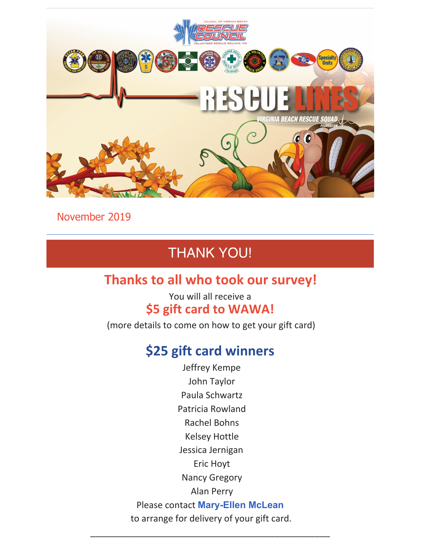

November 2019

## THANK YOU!

## **Thanks to all who took our survey!**

### You will all receive a **\$5 gift card to WAWA!**

(more details to come on how to get your gift card)

## **\$25 gift card winners**

Jeffrey Kempe John Taylor Paula Schwartz Patricia Rowland Rachel Bohns Kelsey Hottle Jessica Jernigan Eric Hoyt Nancy Gregory Alan Perry Please contact **[Mary-Ellen](mailto:mmclean@vbrescuefoundation.org) McLean** to arrange for delivery of your gift card.

\_\_\_\_\_\_\_\_\_\_\_\_\_\_\_\_\_\_\_\_\_\_\_\_\_\_\_\_\_\_\_\_\_\_\_\_\_\_\_\_\_\_\_\_\_\_\_\_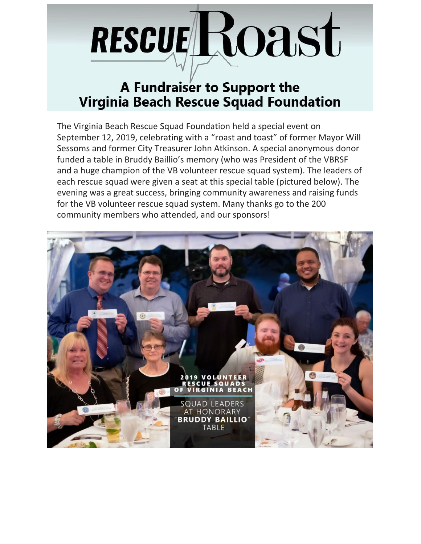# RESCUELROASt

## A Fundraiser to Support the **Virginia Beach Rescue Squad Foundation**

The Virginia Beach Rescue Squad Foundation held a special event on September 12, 2019, celebrating with a "roast and toast" of former Mayor Will Sessoms and former City Treasurer John Atkinson. A special anonymous donor funded a table in Bruddy Baillio's memory (who was President of the VBRSF and a huge champion of the VB volunteer rescue squad system). The leaders of each rescue squad were given a seat at this special table (pictured below). The evening was a great success, bringing community awareness and raising funds for the VB volunteer rescue squad system. Many thanks go to the 200 community members who attended, and our sponsors!

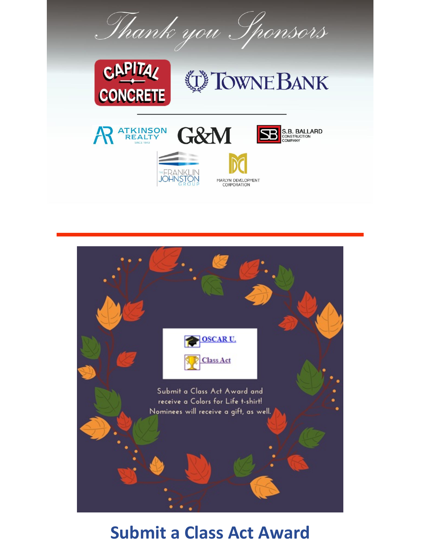Thank you Sponsors



**ATKINSON<br>REALTY** 

## **DE TOWNE BANK**

**S.B. BALLARD**<br>CONSTRUCTION<br>COMPANY









## **Submit a Class Act Award**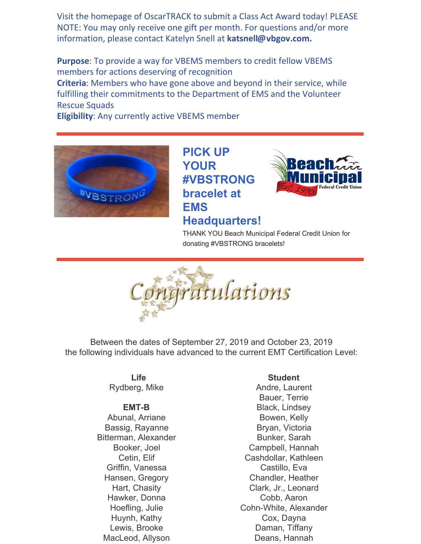Visit the homepage of OscarTRACK to submit a Class Act Award today! PLEASE NOTE: You may only receive one gift per month. For questions and/or more information, please contact Katelyn Snell at **[katsnell@vbgov.com.](mailto:katsnell@vbgov.com)**

**Purpose**: To provide a way for VBEMS members to credit fellow VBEMS members for actions deserving of recognition **Criteria**: Members who have gone above and beyond in their service, while fulfilling their commitments to the Department of EMS and the Volunteer Rescue Squads





**PICK UP YOUR #VBSTRONG bracelet at EMS Headquarters!**



THANK YOU Beach Municipal Federal Credit Union for

donating #VBSTRONG bracelets!



Between the dates of September 27, 2019 and October 23, 2019 the following individuals have advanced to the current EMT Certification Level:

> **Life** Rydberg, Mike

#### **EMT-B**

Abunal, Arriane Bassig, Rayanne Bitterman, Alexander Booker, Joel Cetin, Elif Griffin, Vanessa Hansen, Gregory Hart, Chasity Hawker, Donna Hoefling, Julie Huynh, Kathy Lewis, Brooke MacLeod, Allyson

#### **Student**

Andre, Laurent Bauer, Terrie Black, Lindsey Bowen, Kelly Bryan, Victoria Bunker, Sarah Campbell, Hannah Cashdollar, Kathleen Castillo, Eva Chandler, Heather Clark, Jr., Leonard Cobb, Aaron Cohn-White, Alexander Cox, Dayna Daman, Tiffany Deans, Hannah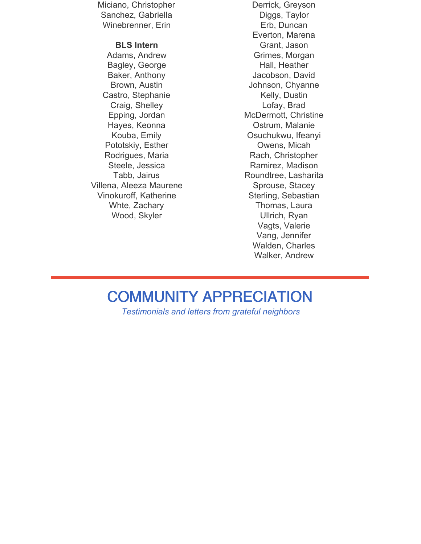Miciano, Christopher Sanchez, Gabriella Winebrenner, Erin

#### **BLS Intern**

Adams, Andrew Bagley, George Baker, Anthony Brown, Austin Castro, Stephanie Craig, Shelley Epping, Jordan Hayes, Keonna Kouba, Emily Pototskiy, Esther Rodrigues, Maria Steele, Jessica Tabb, Jairus Villena, Aleeza Maurene Vinokuroff, Katherine Whte, Zachary Wood, Skyler

Derrick, Greyson Diggs, Taylor Erb, Duncan Everton, Marena Grant, Jason Grimes, Morgan Hall, Heather Jacobson, David Johnson, Chyanne Kelly, Dustin Lofay, Brad McDermott, Christine Ostrum, Malanie Osuchukwu, Ifeanyi Owens, Micah Rach, Christopher Ramirez, Madison Roundtree, Lasharita Sprouse, Stacey Sterling, Sebastian Thomas, Laura Ullrich, Ryan Vagts, Valerie Vang, Jennifer Walden, Charles Walker, Andrew

## COMMUNITY APPRECIATION

*Testimonials and letters from grateful neighbors*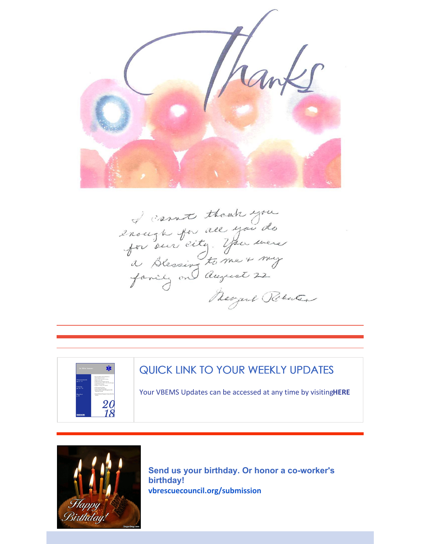

I cannot though you<br>2 nough for all you do<br>for our city. You were Ragarel Polaten



### QUICK LINK TO YOUR WEEKLY UPDATES

Your VBEMS Updates can be accessed at any time by visiting**[HERE](https://www.vbems.com/providers/newsletter/)**



**Send us your birthday. Or honor a co-worker's birthday! [vbrescuecouncil.org/submission](http://www.vbrescuecouncil.org/submission)**